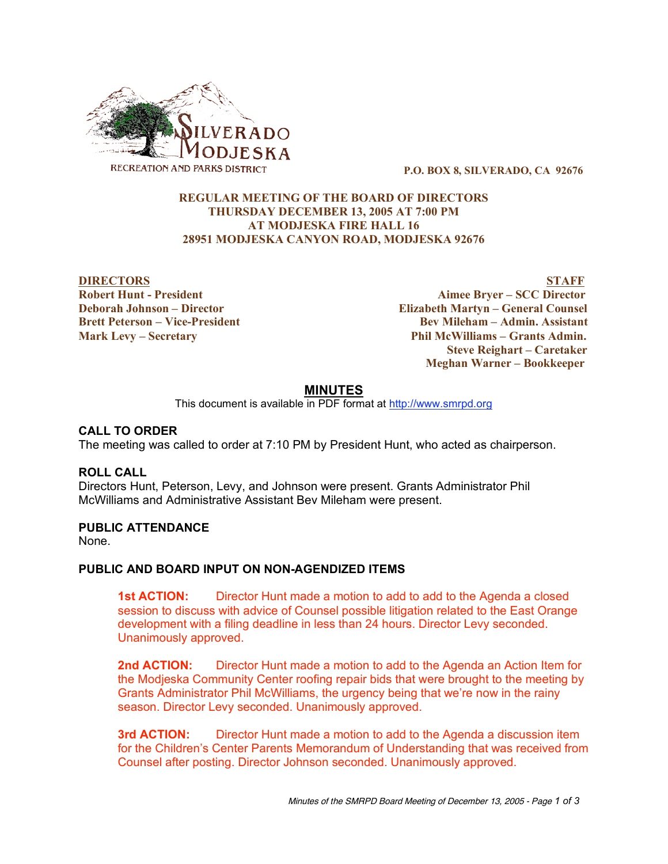

**P.O. BOX 8, SILVERADO, CA 92676**

# **REGULAR MEETING OF THE BOARD OF DIRECTORS THURSDAY DECEMBER 13, 2005 AT 7:00 PM AT MODJESKA FIRE HALL 16 28951 MODJESKA CANYON ROAD, MODJESKA 92676**

**DIRECTORS STAFF Robert Hunt - President Aimee Bryer – SCC Director Deborah Johnson – Director Elizabeth Martyn – General Counsel Brett Peterson – Vice-President Bev Mileham – Admin. Assistant Mark Levy – Secretary Phil McWilliams – Grants Admin. Steve Reighart – Caretaker Meghan Warner – Bookkeeper**

# **MINUTES**

This document is available in PDF format at http://www.smrpd.org

## **CALL TO ORDER**

The meeting was called to order at 7:10 PM by President Hunt, who acted as chairperson.

## **ROLL CALL**

Directors Hunt, Peterson, Levy, and Johnson were present. Grants Administrator Phil McWilliams and Administrative Assistant Bev Mileham were present.

## **PUBLIC ATTENDANCE**

None.

## **PUBLIC AND BOARD INPUT ON NON-AGENDIZED ITEMS**

**1st ACTION:** Director Hunt made a motion to add to add to the Agenda a closed session to discuss with advice of Counsel possible litigation related to the East Orange development with a filing deadline in less than 24 hours. Director Levy seconded. Unanimously approved.

**2nd ACTION:** Director Hunt made a motion to add to the Agenda an Action Item for the Modjeska Community Center roofing repair bids that were brought to the meeting by Grants Administrator Phil McWilliams, the urgency being that we're now in the rainy season. Director Levy seconded. Unanimously approved.

**3rd ACTION:** Director Hunt made a motion to add to the Agenda a discussion item for the Children's Center Parents Memorandum of Understanding that was received from Counsel after posting. Director Johnson seconded. Unanimously approved.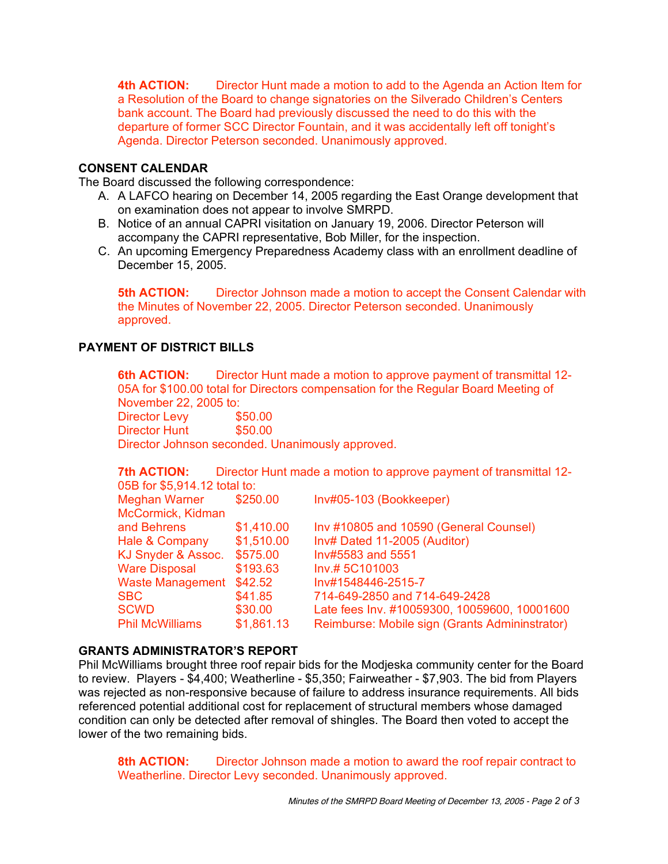**4th ACTION:** Director Hunt made a motion to add to the Agenda an Action Item for a Resolution of the Board to change signatories on the Silverado Children's Centers bank account. The Board had previously discussed the need to do this with the departure of former SCC Director Fountain, and it was accidentally left off tonight's Agenda. Director Peterson seconded. Unanimously approved.

# **CONSENT CALENDAR**

The Board discussed the following correspondence:

- A. A LAFCO hearing on December 14, 2005 regarding the East Orange development that on examination does not appear to involve SMRPD.
- B. Notice of an annual CAPRI visitation on January 19, 2006. Director Peterson will accompany the CAPRI representative, Bob Miller, for the inspection.
- C. An upcoming Emergency Preparedness Academy class with an enrollment deadline of December 15, 2005.

**5th ACTION:** Director Johnson made a motion to accept the Consent Calendar with the Minutes of November 22, 2005. Director Peterson seconded. Unanimously approved.

# **PAYMENT OF DISTRICT BILLS**

**6th ACTION:** Director Hunt made a motion to approve payment of transmittal 12- 05A for \$100.00 total for Directors compensation for the Regular Board Meeting of

November 22, 2005 to:<br>Director Levy \$50.00 Director Levy Director Hunt \$50.00 Director Johnson seconded. Unanimously approved.

**7th ACTION:** Director Hunt made a motion to approve payment of transmittal 12- 05B for \$5,914.12 total to:

| <b>Meghan Warner</b>    | \$250.00   | Inv#05-103 (Bookkeeper)                        |
|-------------------------|------------|------------------------------------------------|
| McCormick, Kidman       |            |                                                |
| and Behrens             | \$1,410.00 | Inv #10805 and 10590 (General Counsel)         |
| Hale & Company          | \$1,510.00 | Inv# Dated 11-2005 (Auditor)                   |
| KJ Snyder & Assoc.      | \$575.00   | Inv#5583 and 5551                              |
| <b>Ware Disposal</b>    | \$193.63   | Inv.# 5C101003                                 |
| <b>Waste Management</b> | \$42.52    | Inv#1548446-2515-7                             |
| <b>SBC</b>              | \$41.85    | 714-649-2850 and 714-649-2428                  |
| <b>SCWD</b>             | \$30.00    | Late fees Inv. #10059300, 10059600, 10001600   |
| <b>Phil McWilliams</b>  | \$1,861.13 | Reimburse: Mobile sign (Grants Admininstrator) |
|                         |            |                                                |

# **GRANTS ADMINISTRATOR'S REPORT**

Phil McWilliams brought three roof repair bids for the Modjeska community center for the Board to review. Players - \$4,400; Weatherline - \$5,350; Fairweather - \$7,903. The bid from Players was rejected as non-responsive because of failure to address insurance requirements. All bids referenced potential additional cost for replacement of structural members whose damaged condition can only be detected after removal of shingles. The Board then voted to accept the lower of the two remaining bids.

**8th ACTION:** Director Johnson made a motion to award the roof repair contract to Weatherline. Director Levy seconded. Unanimously approved.